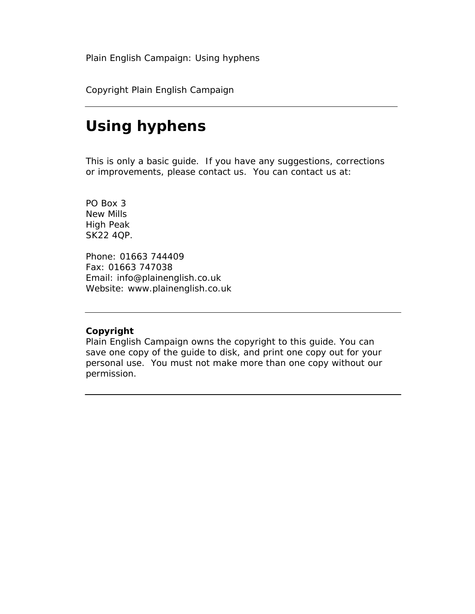Plain English Campaign: Using hyphens

Copyright Plain English Campaign

## **Using hyphens**

This is only a basic guide. If you have any suggestions, corrections or improvements, please contact us. You can contact us at:

PO Box 3 New Mills High Peak SK22 4QP. Phone: 01663 744409 Fax: 01663 747038

Email: info@plainenglish.co.uk Website: www.plainenglish.co.uk

#### **Copyright**

Plain English Campaign owns the copyright to this guide. You can save one copy of the guide to disk, and print one copy out for your personal use. You must not make more than one copy without our permission.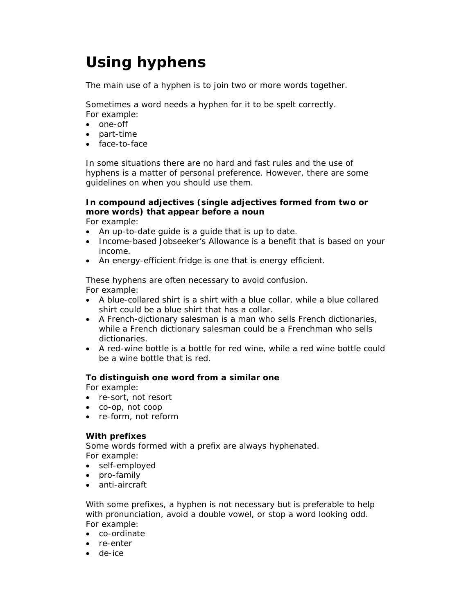# **Using hyphens**

The main use of a hyphen is to join two or more words together.

Sometimes a word needs a hyphen for it to be spelt correctly. For example:

- one-off
- part-time
- face-to-face

In some situations there are no hard and fast rules and the use of hyphens is a matter of personal preference. However, there are some guidelines on when you should use them.

## **In compound adjectives (single adjectives formed from two or more words) that appear before a noun**

For example:

- An up-to-date guide is a guide that is up to date.
- Income-based Jobseeker's Allowance is a benefit that is based on your income.
- An energy-efficient fridge is one that is energy efficient.

These hyphens are often necessary to avoid confusion. For example:

- A blue-collared shirt is a shirt with a blue collar, while a blue collared shirt could be a blue shirt that has a collar.
- A French-dictionary salesman is a man who sells French dictionaries, while a French dictionary salesman could be a Frenchman who sells dictionaries.
- A red-wine bottle is a bottle for red wine, while a red wine bottle could be a wine bottle that is red.

### **To distinguish one word from a similar one**

For example:

- re-sort, not resort
- co-op, not coop
- re-form, not reform

#### **With prefixes**

Some words formed with a prefix are always hyphenated. For example:

- self-employed
- pro-family
- anti-aircraft

With some prefixes, a hyphen is not necessary but is preferable to help with pronunciation, avoid a double vowel, or stop a word looking odd. For example:

- co-ordinate
- re-enter
- de-ice